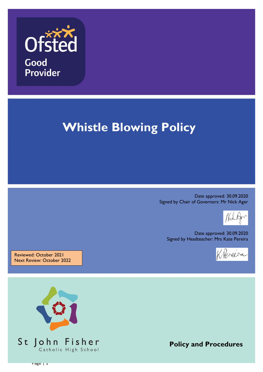

# **Whistle Blowing Policy**

Date approved: 30.09.2020 Signed by Chair of Governors: Mr Nick Ager

Date approved: 30.09.2020 Signed by Headteacher: Mrs Kate Pereira



Reviewed: October 2021 Next Review: October 2022



**Policy and Procedures**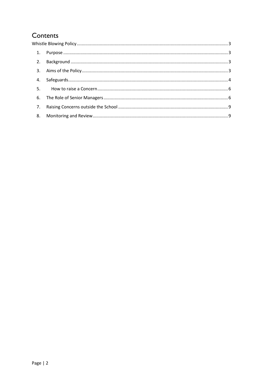# Contents

| 4. |  |  |
|----|--|--|
|    |  |  |
| 6. |  |  |
| 7. |  |  |
| 8. |  |  |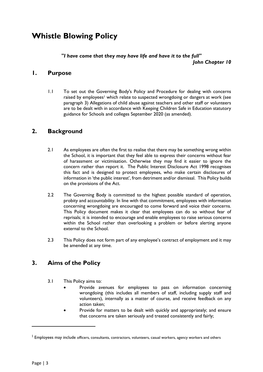# <span id="page-2-0"></span>**Whistle Blowing Policy**

#### *"I have come that they may have life and have it to the full" John Chapter 10*

#### <span id="page-2-1"></span>**1. Purpose**

1.1 To set out the Governing Body's Policy and Procedure for dealing with concerns raised by employees<sup>1</sup> which relate to suspected wrongdoing or dangers at work (see paragraph 3) Allegations of child abuse against teachers and other staff or volunteers are to be dealt with in accordance with Keeping Children Safe in Education statutory guidance for Schools and colleges September 2020 (as amended).

### <span id="page-2-2"></span>**2. Background**

- 2.1 As employees are often the first to realise that there may be something wrong within the School, it is important that they feel able to express their concerns without fear of harassment or victimisation. Otherwise they may find it easier to ignore the concern rather than report it. The Public Interest Disclosure Act 1998 recognises this fact and is designed to protect employees, who make certain disclosures of information in 'the public interest', from detriment and/or dismissal. This Policy builds on the provisions of the Act.
- 2.2 The Governing Body is committed to the highest possible standard of operation, probity and accountability. In line with that commitment, employees with information concerning wrongdoing are encouraged to come forward and voice their concerns. This Policy document makes it clear that employees can do so without fear of reprisals; it is intended to encourage and enable employees to raise serious concerns within the School rather than overlooking a problem or before alerting anyone external to the School.
- 2.3 This Policy does not form part of any employee's contract of employment and it may be amended at any time.

## <span id="page-2-3"></span>**3. Aims of the Policy**

- 3.1 This Policy aims to:
	- Provide avenues for employees to pass on information concerning wrongdoing (this includes all members of staff, including supply staff and volunteers), internally as a matter of course, and receive feedback on any action taken;
	- Provide for matters to be dealt with quickly and appropriately; and ensure that concerns are taken seriously and treated consistently and fairly;

**.** 

 $^{\rm 1}$  Employees may include officers, consultants, contractors, volunteers, casual workers, agency workers and others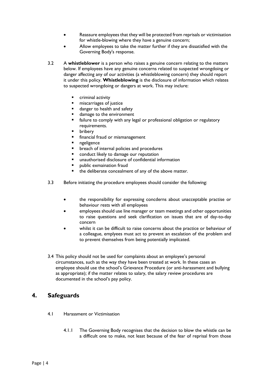- Reassure employees that they will be protected from reprisals or victimisation for whistle-blowing where they have a genuine concern;
- Allow employees to take the matter further if they are dissatisfied with the Governing Body's response.
- 3.2 A **whistleblower** is a person who raises a genuine concern relating to the matters below. If employees have any genuine concerns related to suspected wrongdoing or danger affecting any of our activities (a whistleblowing concern) they should report it under this policy. **Whistleblowing** is the disclosure of information which relates to suspected wrongdoing or dangers at work. This may inclure:
	- criminal activity
	- **n** miscarriages of justice
	- danger to health and safety
	- damage to the environment
	- failure to comply with any legal or professional obligation or regulatory requirements.
	- bribery
	- financial fraud or mismanagement
	- ngeligence
	- breach of internal policies and procedures
	- conduct likely to damage our reputation
	- unauthorised disclosure of confidential information
	- public exmaination fraud
	- the deliberate concealment of any of the above matter.
- 3.3 Before initiating the procedure employees should consider the following:
	- the responsibility for expressing concderns about unacceptable practise or behaviour rests with all employees
	- employees should use line manager or team meetings and other opportunities to raise questions and seek clarification on issues that are of day-to-day concern
	- whilst it can be difficult to raise concerns about the practice or behaviour of a colleague, emplyees must act to prevent an escalation of the problem and to prevent themselves from being potentially implicated.
- 3.4 This policy should not be used for complaints about an employee's personal circumstances, such as the way they have been treated at work. In these cases an employee should use the school's Grievance Procedure (or anti-harassment and bullying as appropriate); if the matter relates to salary, the salary review procedures are documented in the school's pay policy.

### <span id="page-3-0"></span>**4. Safeguards**

- 4.1 Harassment or Victimisation
	- 4.1.1 The Governing Body recognises that the decision to blow the whistle can be a difficult one to make, not least because of the fear of reprisal from those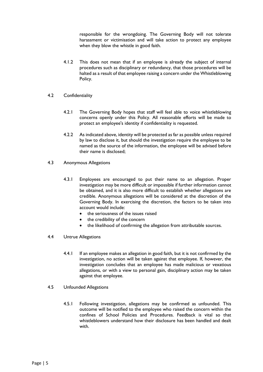responsible for the wrongdoing. The Governing Body will not tolerate harassment or victimisation and will take action to protect any employee when they blow the whistle in good faith.

- 4.1.2 This does not mean that if an employee is already the subject of internal procedures such as disciplinary or redundancy, that those procedures will be halted as a result of that employee raising a concern under the Whistleblowing Policy.
- 4.2 Confidentiality
	- 4.2.1 The Governing Body hopes that staff will feel able to voice whistleblowing concerns openly under this Policy. All reasonable efforts will be made to protect an employee's identity if confidentiality is requested.
	- 4.2.2 As indicated above, identity will be protected as far as possible unless required by law to disclose it, but should the investigation require the employee to be named as the source of the information, the employee will be advised before their name is disclosed;
- 4.3 Anonymous Allegations
	- 4.3.1 Employees are encouraged to put their name to an allegation. Proper investigation may be more difficult or impossible if further information cannot be obtained, and it is also more difficult to establish whether allegations are credible. Anonymous allegations will be considered at the discretion of the Governing Body. In exercising the discretion, the factors to be taken into account would include:
		- the seriousness of the issues raised
		- the credibility of the concern
		- the likelihood of confirming the allegation from attributable sources.
- 4.4 Untrue Allegations
	- 4.4.1 If an employee makes an allegation in good faith, but it is not confirmed by the investigation, no action will be taken against that employee. If, however, the investigation concludes that an employee has made malicious or vexatious allegations, or with a view to personal gain, disciplinary action may be taken against that employee.
- 4.5 Unfounded Allegations
	- 4.5.1 Following investigation, allegations may be confirmed as unfounded. This outcome will be notified to the employee who raised the concern within the confines of School Policies and Procedures. Feedback is vital so that whistleblowers understand how their disclosure has been handled and dealt with.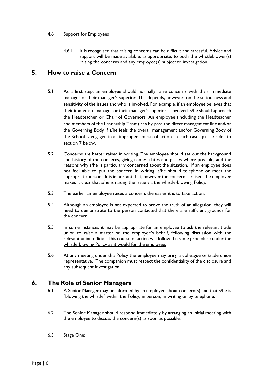#### 4.6 Support for Employees

4.6.1 It is recognised that raising concerns can be difficult and stressful. Advice and support will be made available, as appropriate, to both the whistleblower(s) raising the concerns and any employee(s) subject to investigation.

#### <span id="page-5-0"></span>**5. How to raise a Concern**

- 5.1 As a first step, an employee should normally raise concerns with their immediate manager or their manager's superior. This depends, however, on the seriousness and sensitivity of the issues and who is involved. For example, if an employee believes that their immediate manager or their manager's superior is involved, s/he should approach the Headteacher or Chair of Governors. An employee (including the Headteacher and members of the Leadership Team) can by-pass the direct management line and/or the Governing Body if s/he feels the overall management and/or Governing Body of the School is engaged in an improper course of action. In such cases please refer to section 7 below.
- 5.2 Concerns are better raised in writing. The employee should set out the background and history of the concerns, giving names, dates and places where possible, and the reasons why s/he is particularly concerned about the situation. If an employee does not feel able to put the concern in writing, s/he should telephone or meet the appropriate person. It is important that, however the concern is raised, the employee makes it clear that s/he is raising the issue via the whistle-blowing Policy.
- 5.3 The earlier an employee raises a concern, the easier it is to take action.
- 5.4 Although an employee is not expected to prove the truth of an allegation, they will need to demonstrate to the person contacted that there are sufficient grounds for the concern.
- 5.5 In some instances it may be appropriate for an employee to ask the relevant trade union to raise a matter on the employee's behalf, following discussion with the relevant union official. This course of action will follow the same procedure under the whistle blowing Policy as it would for the employee.
- 5.6 At any meeting under this Policy the employee may bring a colleague or trade union representative. The companion must respect the confidentiality of the disclosure and any subsequent investigation.

### <span id="page-5-1"></span>**6. The Role of Senior Managers**

- 6.1 A Senior Manager may be informed by an employee about concern(s) and that s/he is "blowing the whistle" within the Policy, in person; in writing or by telephone.
- 6.2 The Senior Manager should respond immediately by arranging an initial meeting with the employee to discuss the concern(s) as soon as possible.
- 6.3 Stage One: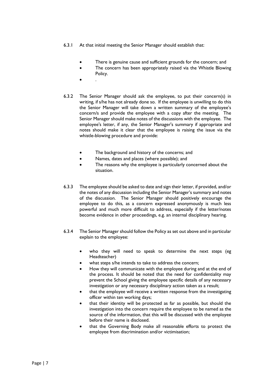- 6.3.1 At that initial meeting the Senior Manager should establish that:
	- There is genuine cause and sufficient grounds for the concern; and
	- The concern has been appropriately raised via the Whistle Blowing Policy.
	- $\bullet$  .
- 6.3.2 The Senior Manager should ask the employee, to put their concern(s) in writing, if s/he has not already done so. If the employee is unwilling to do this the Senior Manager will take down a written summary of the employee's concern/s and provide the employee with a copy after the meeting. The Senior Manager should make notes of the discussions with the employee. The employee's letter, if any, the Senior Manager's summary if appropriate and notes should make it clear that the employee is raising the issue via the whistle-blowing procedure and provide:
	- The background and history of the concerns; and
	- Names, dates and places (where possible); and
	- The reasons why the employee is particularly concerned about the situation.
- 6.3.3 The employee should be asked to date and sign their letter, if provided, and/or the notes of any discussion including the Senior Manager's summary and notes of the discussion. The Senior Manager should positively encourage the employee to do this, as a concern expressed anonymously is much less powerful and much more difficult to address, especially if the letter/notes become evidence in other proceedings, e.g. an internal disciplinary hearing.
- 6.3.4 The Senior Manager should follow the Policy as set out above and in particular explain to the employee:
	- who they will need to speak to determine the next steps (eg Headteacher)
	- what steps s/he intends to take to address the concern;
	- How they will communicate with the employee during and at the end of the process. It should be noted that the need for confidentiality may prevent the School giving the employee specific details of any necessary investigation or any necessary disciplinary action taken as a result;
	- that the employee will receive a written response from the investigating officer within ten working days;
	- that their identity will be protected as far as possible, but should the investigation into the concern require the employee to be named as the source of the information, that this will be discussed with the employee before their name is disclosed.
	- that the Governing Body make all reasonable efforts to protect the employee from discrimination and/or victimisation;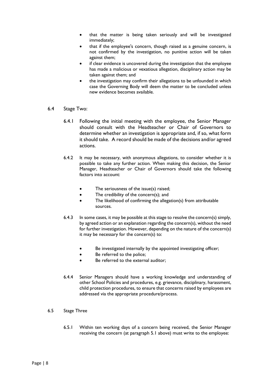- that the matter is being taken seriously and will be investigated immediately;
- that if the employee's concern, though raised as a genuine concern, is not confirmed by the investigation, no punitive action will be taken against them;
- if clear evidence is uncovered during the investigation that the employee has made a malicious or vexatious allegation, disciplinary action may be taken against them; and
- the investigation may confirm their allegations to be unfounded in which case the Governing Body will deem the matter to be concluded unless new evidence becomes available.
- 6.4 Stage Two:
	- 6.4.1 Following the initial meeting with the employee, the Senior Manager should consult with the Headteacher or Chair of Governors to determine whether an investigation is appropriate and, if so, what form it should take. A record should be made of the decisions and/or agreed actions.
	- 6.4.2 It may be necessary, with anonymous allegations, to consider whether it is possible to take any further action. When making this decision, the Senior Manager, Headteacher or Chair of Governors should take the following factors into account:
		- The seriousness of the issue(s) raised;
		- The credibility of the concern(s); and
		- The likelihood of confirming the allegation(s) from attributable sources.
	- 6.4.3 In some cases, it may be possible at this stage to resolve the concern(s) simply, by agreed action or an explanation regarding the concern(s), without the need for further investigation. However, depending on the nature of the concern(s) it may be necessary for the concern(s) to:
		- Be investigated internally by the appointed investigating officer;
		- Be referred to the police:
		- Be referred to the external auditor;
	- 6.4.4 Senior Managers should have a working knowledge and understanding of other School Policies and procedures, e.g. grievance, disciplinary, harassment, child protection procedures, to ensure that concerns raised by employees are addressed via the appropriate procedure/process.
- 6.5 Stage Three
	- 6.5.1 Within ten working days of a concern being received, the Senior Manager receiving the concern (at paragraph 5.1 above) must write to the employee: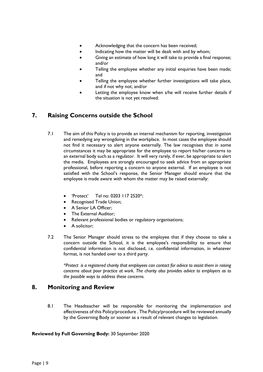- Acknowledging that the concern has been received;
- Indicating how the matter will be dealt with and by whom:
- Giving an estimate of how long it will take to provide a final response; and/or
- Telling the employee whether any initial enquiries have been made; and
- Telling the employee whether further investigations will take place, and if not why not; and/or
- Letting the employee know when s/he will receive further details if the situation is not yet resolved.

## <span id="page-8-0"></span>**7. Raising Concerns outside the School**

- 7.1 The aim of this Policy is to provide an internal mechanism for reporting, investigation and remedying any wrongdoing in the workplace. In most cases the employee should not find it necessary to alert anyone externally. The law recognises that in some circumstances it may be appropriate for the employee to report his/her concerns to an external body such as a regulator. It will very rarely, if ever, be appropriate to alert the media. Employees are strongly encouraged to seek advice from an appropriate professional, before reporting a concern to anyone external. If an employee is not satisfied with the School's response, the Senior Manager should ensure that the employee is made aware with whom the matter may be raised externally:
	- 'Protect' Tel no: 0203 117 2520\*;
	- Recognised Trade Union;
	- A Senior LA Officer:
	- The External Auditor;
	- Relevant professional bodies or regulatory organisations;
	- A solicitor;
- 7.2 The Senior Manager should stress to the employee that if they choose to take a concern outside the School, it is the employee's responsibility to ensure that confidential information is not disclosed, i.e. confidential information, in whatever format, is not handed over to a third party.

*\*Protect is a registered charity that employees can contact for advice to assist them in raising concerns about poor practice at work. The charity also provides advice to employers as to the possible ways to address these concerns.*

#### <span id="page-8-1"></span>**8. Monitoring and Review**

8.1 The Headteacher will be responsible for monitoring the implementation and effectiveness of this Policy/procedure . The Policy/procedure will be reviewed annually by the Governing Body or sooner as a result of relevant changes to legislation.

#### **Reviewed by Full Governing Body:** 30 September 2020